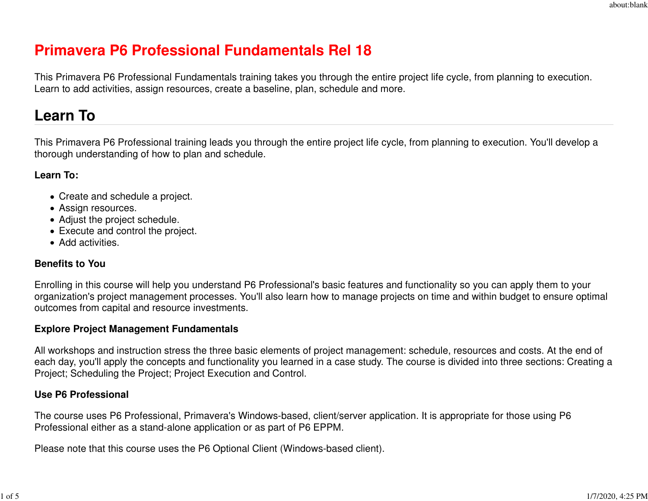# **Primavera P6 Professional Fundamentals Rel 18**

This Primavera P6 Professional Fundamentals training takes you through the entire project life cycle, from planning to execution.Learn to add activities, assign resources, create a baseline, plan, schedule and more.

# **Learn To**

This Primavera P6 Professional training leads you through the entire project life cycle, from planning to execution. You'll develop athorough understanding of how to plan and schedule.

#### **Learn To:**

- Create and schedule a project.
- Assign resources.
- Adjust the project schedule.
- Execute and control the project.
- Add activities.

#### **Benefits to You**

Enrolling in this course will help you understand P6 Professional's basic features and functionality so you can apply them to your organization's project management processes. You'll also learn how to manage projects on time and within budget to ensure optimaloutcomes from capital and resource investments.

#### **Explore Project Management Fundamentals**

All workshops and instruction stress the three basic elements of project management: schedule, resources and costs. At the end of each day, you'll apply the concepts and functionality you learned in a case study. The course is divided into three sections: Creating aProject; Scheduling the Project; Project Execution and Control.

#### **Use P6 Professional**

The course uses P6 Professional, Primavera's Windows-based, client/server application. It is appropriate for those using P6Professional either as a stand-alone application or as part of P6 EPPM.

Please note that this course uses the P6 Optional Client (Windows-based client).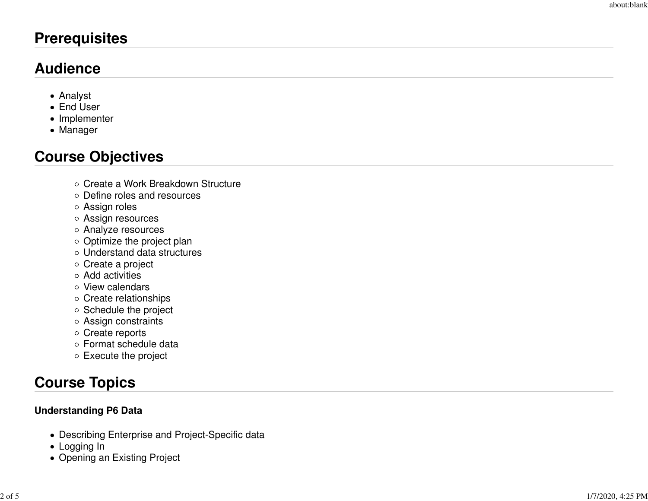# **Prerequisites**

# **Audience**

- Analyst
- End User
- Implementer
- Manager

# **Course Objectives**

- Create a Work Breakdown Structure
- Define roles and resources
- Assign roles
- Assign resources
- Analyze resources
- Optimize the project plan
- Understand data structures
- Create a project
- Add activities
- View calendars
- Create relationships
- Schedule the project
- Assign constraints
- o Create reports
- Format schedule data
- Execute the project

# **Course Topics**

## **Understanding P6 Data**

- Describing Enterprise and Project-Specific data
- Logging In
- Opening an Existing Project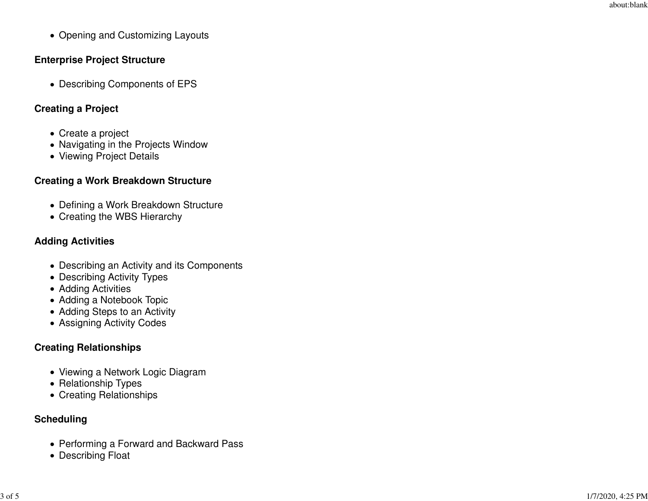• Opening and Customizing Layouts

### **Enterprise Project Structure**

Describing Components of EPS

## **Creating a Project**

- Create a project
- Navigating in the Projects Window
- Viewing Project Details

## **Creating a Work Breakdown Structure**

- Defining a Work Breakdown Structure
- Creating the WBS Hierarchy

## **Adding Activities**

- Describing an Activity and its Components
- Describing Activity Types
- Adding Activities
- Adding a Notebook Topic
- Adding Steps to an Activity
- Assigning Activity Codes

## **Creating Relationships**

- Viewing a Network Logic Diagram
- Relationship Types
- Creating Relationships

## **Scheduling**

- Performing a Forward and Backward Pass
- Describing Float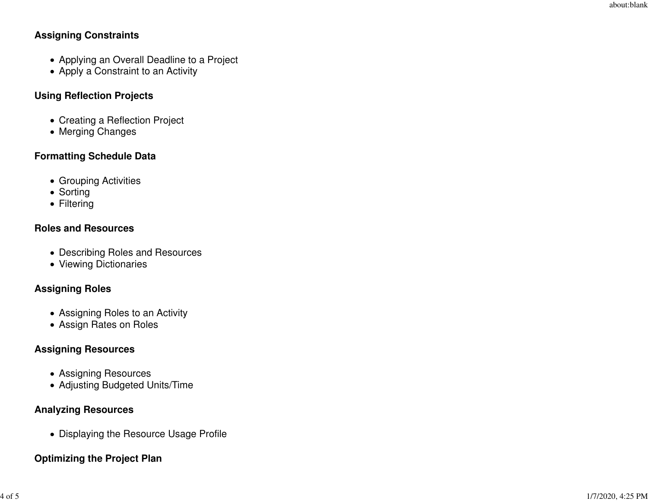#### **Assigning Constraints**

- Applying an Overall Deadline to a Project
- Apply a Constraint to an Activity

### **Using Reflection Projects**

- Creating a Reflection Project
- Merging Changes

## **Formatting Schedule Data**

- Grouping Activities
- Sorting
- Filtering

#### **Roles and Resources**

- Describing Roles and Resources
- Viewing Dictionaries

#### **Assigning Roles**

- Assigning Roles to an Activity
- Assign Rates on Roles

#### **Assigning Resources**

- Assigning Resources
- Adjusting Budgeted Units/Time

#### **Analyzing Resources**

• Displaying the Resource Usage Profile

#### **Optimizing the Project Plan**